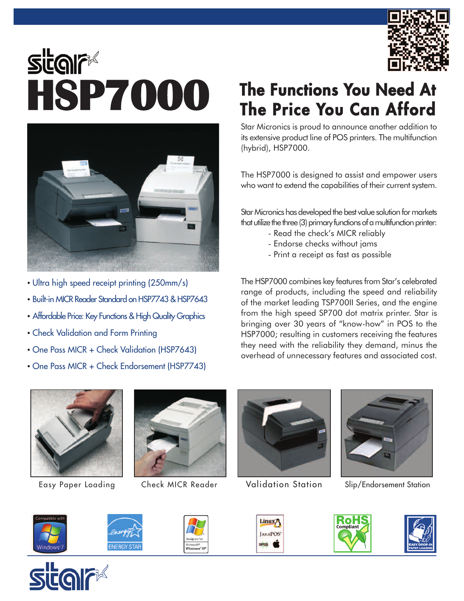

## **The Functions You Need At**<br> **HSP7000** The Functions You Need At<br>
The Price You Can Afford



- Ultra high speed receipt printing (250mm/s)
- Built-in MICR Reader Standard on HSP7743 & HSP7643
- Affordable Price: Key Functions & High Quality Graphics
- Check Validation and Form Printing
- One Pass MICR + Check Validation (HSP7643)
- One Pass MICR + Check Endorsement (HSP7743)

Star Micronics is proud to announce another addition to its extensive product line of POS printers. The multifunction (hybrid), HSP7000.

The HSP7000 is designed to assist and empower users who want to extend the capabilities of their current system.

Star Micronics has developed the best value solution for markets that utilize the three (3) primary functions of a multifunction printer:

- Read the check's MICR reliably
- Endorse checks without jams
- Print a receipt as fast as possible

The HSP7000 combines key features from Star's celebrated range of products, including the speed and reliability of the market leading TSP700II Series, and the engine from the high speed SP700 dot matrix printer. Star is bringing over 30 years of "know-how" in POS to the HSP7000; resulting in customers receiving the features they need with the reliability they demand, minus the overhead of unnecessary features and associated cost.









Easy Paper Loading Check MICR Reader Validation Station Slip/Endorsement Station